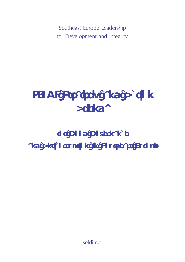Southeast Europe Leadership for Development and Integrity

# **SELDI Strategy and Action Agenda**

## **for Good Governance and Anticorruption in Southeast Europe**

seldi.net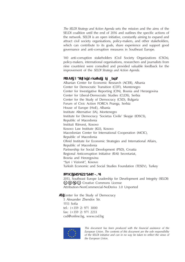*The SELDI Strategy and Action Agenda* sets the mission and the aims of the SELDI coalition until the end of 2016 and outlines the specific actions of the network. SELDI is an open initiative, constantly aiming to expand and attract civil society organisations, policy-makers, and other stakeholders, which can contribute to its goals, share experience and support good governance and anti-corruption measures in Southeast Europe.

140 anti-corruption stakeholders (Civil Society Organizations (CSOs), policy-makers, international organisations, researchers and journalists from nine countries) were consulted and provided valuable feedback for the improvement of the *SELDI Strategy and Action Agenda*.

#### **SELDI coalition founding members:**

Albanian Center for Economic Research (ACER), Albania Center for Democratic Transition (CDT), Montenegro Center for Investigative Reporting (CIN), Bosnia and Herzegovina Center for Liberal-Democratic Studies (CLDS), Serbia Center for the Study of Democracy (CSD), Bulgaria Forum of Civic Action FORCA Pozega, Serbia House of Europe (HoE), Albania Institute Alternative (IA), Montenegro Institute for Democracy 'Societas Civilis' Skopje (IDSCS), Republic of Macedonia Instituti Riinvest, Kosovo Kosovo Law Institute (KLI), Kosovo Macedonian Center for International Cooperation (MCIC), Republic of Macedonia Ohrid Institute for Economic Strategies and International Affairs, Republic of Macedonia Partnership for Social Development (PSD), Croatia Regional Anticorruption Initiative (RAI) Secretariat, Bosnia and Herzegovina "Syri i Vizionit", Kosovo Turkish Economic and Social Studies Foundation (TESEV), Turkey

#### **ISBN: 978-954-477-201-7**

2013, Southeast Europe Leadership for Development and Integrity (SELDI) **© ⊙ S ∈** Creative Commons License Attribution-NonCommercial-NoDerivs 3.0 Unported

**©**  Center for the Study of Democracy 5 Alexander Zhendov Str. 1113 Sofia tel.: (+359 2) 971 3000 fax: (+359 2) 971 2233 csd@online.bg, www.csd.bg



*This document has been produced with the financial assistance of the European Union. The contents of this document are the sole responsibility of the SELDI initiative and can in no way be taken to reflect the views of the European Union.*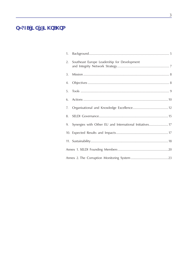## **TABLE OF CONTENTS**

| 1. |                                                          |  |
|----|----------------------------------------------------------|--|
| 2. | Southeast Europe Leadership for Development              |  |
| 3. |                                                          |  |
| 4. |                                                          |  |
| 5. |                                                          |  |
| 6. |                                                          |  |
| 7. |                                                          |  |
| 8. |                                                          |  |
| 9. | Synergies with Other EU and International Initiatives 17 |  |
|    |                                                          |  |
|    |                                                          |  |
|    |                                                          |  |
|    |                                                          |  |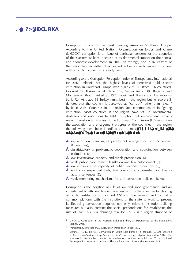## **1. Background**

Corruption is one of the most pressing issues in Southeast Europe. According to the United Nations Organisation on Drugs and Crime (UNODC) corruption is an issue of particular concern for the countries of the Western Balkans, because of its detrimental impact on their social and economic development. In 2010, on average, one in six citizens of the region has had either direct or indirect exposure to an act of bribery with a public official on a yearly basis.<sup>1</sup>

According to the Corruption Perception Index of Transparency International for  $2012<sub>i</sub><sup>2</sup>$  Albania has the highest levels of perceived public-sector corruption in Southeast Europe with a rank of 113 (from 176 countries), followed by Kosovo – at place 105, Serbia (rank 80), Bulgaria and Montenegro (both ranked at 75<sup>th</sup> place), and Bosnia and Herzegovina (rank 72). At place 54 Turkey ranks best in the region but its score still denotes that the country is perceived as "corrupt" rather than "clean" by its citizens. Countries in the region face common issues in fighting corruption. Most countries in the region have set up governmental strategies and institutions to fight corruption but enforcement remains weak.3 Based on an analysis of the European Commission (EC) reports on the association and enlargement progress of the countries in the region the following have been identified as the most **common problems in the fight against corruption in Southeast Europe**:

- **•** legislation on financing of parties not arranged or with no impact (8 countries);
- **•** dissatisfactory or problematic cooperation and coordination between institutions (6);
- **•** low investigative capacity and weak prosecution (6);
- **•** weak public procurement legislation and law enforcement (6);
- **•** low administrative capacity of public financial inspections (5);
- **•** lengthy or suspended trials, few convictions, inconsistent or dissatisfactory sentences (5);
- **•** weak monitoring mechanisms for anti-corruption policies (5), etc.

Corruption is the negation of rule of law and good governance, and an impediment to efficient law enforcement and to the effective functioning of public institutions. Concerned CSOs in the region need to find a common platform with the institutions of the state to work to prevent it. Reducing corruption requires not only relevant institution-building measures but also creating the social preconditions for establishing the rule of law. This is a daunting task for CSOs in a region strapped of

UNODC, Corruption in the Western Balkans: Bribery as Experienced by the Population, Vienna, 2011.

<sup>&</sup>lt;sup>2</sup> Transparency International, Corruption Perception Index, 2012.

<sup>3</sup> Stefanov, R., D. Hristov, Corruption in South East Europe, in: Sternad, D. and Doering T. (eds), *Handbook of Doing Business in South East Europe*, Palgrave Macmillan 2012. The numbers in the brackets denote the number of countries, in which the EC has outlined the respective issue as a problem. The total number of countries reviewed is 9.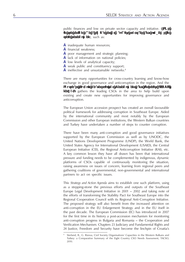public finances and low on private sector capacity and initiative. **CSOs in the region face a similar set of capacity shortfalls and problems in their developmen**t, such as:

- **•** inadequate human resources;
- **•** financial weakness;
- **•** poor management and strategic planning;
- **•** lack of information on national policies;
- **•** low levels of analytical capacity;
- **•** weak public and constituency support;
- **•** ineffective and unsustainable networks.4

There are many opportunities for cross-country learning and know-how exchange in good governance and anticorruption in the region. And the **Southeast Europe Leadership for Development and Integrity (SELDI) network** gathers the leading CSOs in the area to help build upon existing and create new opportunities for improving governance and anticorruption.

The European Union accession prospect has created an overall favourable political framework for addressing corruption in Southeast Europe. Aided by the international community and most notably by the European Commission and other European institutions, the Western Balkan countries and Turkey have undertaken a number of steps to counter corruption.

There have been many anti-corruption and good governance initiatives supported by the European Commission as well as by UNODC, the United Nations Development Programme (UNDP), the World Bank, the United States Agency for International Development (USAID), the Central European Initiative (CEI), the Regional Anticorruption Initiative (RAI), etc. A key common lesson they have all drawn has been that international pressure and funding needs to be complemented by indigenous, dynamic platforms of CSOs capable of continuously monitoring the situation, raising awareness on issues of concern, learning from regional peers and gathering coalitions of governmental, non-governmental and international partners to act on specific issues.

This *Strategy and Action Agenda* aims to establish one such platform, using as a stepping-stone the previous efforts and outputs of the Southeast Europe Legal Development Initiative in 2001 – 2002 and taking note of the efforts of transforming the Stability Pact for Southeast Europe into the Regional Cooperation Council with its Regional Anti-Corruption Initiative. The proposed strategy will also benefit from the increased attention on anti-corruption in the EU Enlargement Strategy and in the EU itself in the past decade. The European Commission (EC) has introduced in 2007 for the first time in its history a post-accession mechanism for monitoring anti-corruption progress in Bulgaria and Romania – the Cooperation and Verification Mechanism. Chapters 23 Judiciary and Fundamental Rights and

<sup>24</sup> Justice, Freedom and Security have become the linchpin of Croatia's  $\frac{4}{1}$  Sterland, B., G. Rizova, Civil Society Organisations' Capacities in the Western Balkans and Tutkey: a Comparative Summary of the Eight Country CSO Needs Assessment, TACSO, 2010.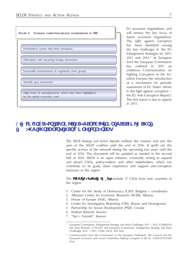

EU accession negotiations, and will remain the key focus of future accession negotiations. The fight against corruption has been identified among the key challenges in the EU Enlargement Strategies for 2011, 2012 and 2013.5 At European level the European Commission has outlined in 2011 an ambitious Communication on Fighting Corruption in the EU, which foresees the introduction of a mechanism for periodic assessment of EU States' efforts in the fight against corruption – the EU Anti-Corruption Report.6 The first report is due to appear in 2013.

## **2. Southeast Europe Leadership for Development and Integrity Network Strategy**

The *SELDI Strategy and Action Agenda* outlines the mission and sets the aims of the SELDI coalition until the end of 2016. It spells out the specific actions of the network during the upcoming two years until the end of 2014. This document will be updated as needed in the second half of 2014. SELDI is an open initiative, constantly aiming to expand and attract CSOs, policy-makers, and other stakeholders, which can contribute to its goals, share experience and support anti-corruption measures in the region.

The **SELDI founding members** include 17 CSOs from nine countries in the region:

- 1. Center for the Study of Democracy (CSD), Bulgaria coordinator
- 2. Albanian Center for Economic Research (ACER), Albania
- 3. House of Europe (HoE), Albania
- 4. Center for Investigative Reporting (CIN), Bosnia and Herzegovina
- 5. Partnership for Social Development (PSD), Croatia
- 6. Instituti Riinvest, Kosovo
- 7. "Syri i Vizionit", Kosovo

<sup>5</sup> European Commission, Enlargement Strategy and Main Challenges 2011 – 2012, COM(2011) 666 final, Brussels, 12.10.2011 and European Commission, Enlargement Strategy and Main Challenges 2012 – 2013, COM (2012), 600 final.

<sup>6</sup> Communication from the Commission to the European Parliament, the Council and the European Economic and Social Committee *Fighting Corruption in the EU*, COM/2011/0308 final.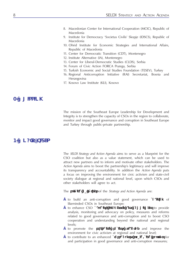- 8. Macedonian Center for International Cooperation (MCIC), Republic of Macedonia
- 9. Institute for Democracy 'Societas Civilis' Skopje (IDSCS), Republic of Macedonia
- 10. Ohrid Institute for Economic Strategies and International Affairs, Republic of Macedonia
- 11. Center for Democratic Transition (CDT), Montenegro
- 12. Institute Alternative (IA), Montenegro
- 13. Center for Liberal-Democratic Studies (CLDS), Serbia
- 14. Forum of Civic Action FORCA Pozega, Serbia
- 15. Turkish Economic and Social Studies Foundation (TESEV), Turkey
- 16. Regional Anticorruption Initiative (RAI) Secretariat, Bosnia and Herzegovina
- 17. Kosovo Law Institute (KLI), Kosovo

#### **3. Mission mISSION**

The mission of the Southeast Europe Leadership for Development and Integrity is to strengthen the capacity of CSOs in the region to collaborate, monitor and impact good governance and corruption in Southeast Europe and Turkey through public-private partnership.

## **4. Objectives**

The *SELDI Strategy and Action Agenda* aims to serve as a blueprint for the CSO coalition but also as a value statement, which can be used to attract new partners and to inform and motivate other stakeholders. The *Action Agenda* aims to boost the partnership's legitimacy and will improve its transparency and accountability. In addition the *Action Agenda* puts a focus on improving the environment for civic activism and state-civil society dialogue at regional and national level, upon which CSOs and other stakeholders will agree to act.

The **specific objectives** of the *Strategy and Action Agenda* are:

- **•** to build an anti-corruption and good governance **coalition** of likeminded CSOs in Southeast Europe;
- **•** to enhance CSO **capacity, knowledge and commitment** to provide analysis, monitoring and advocacy on policy, measures and reforms related to good governance and anti-corruption and to boost CSO cooperation and understanding beyond the national and regional levels;
- **•** to promote the **state-civil society dialogue** and improve the environment for civic activism at regional and national level;
- **•** to contribute to an enhanced **cross-country public/civic support** for and participation in good governance and anti-corruption measures;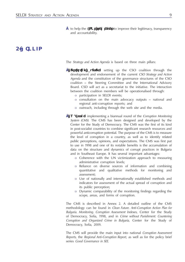**•** to help the **CSOs themselves** to improve their legitimacy, transparency and accountability.

## **5. Tools**

The *Strategy and Action Agenda* is based on three main pillars:

- **• Institution building**: setting up the CSO coalition through the development and endorsement of the current *CSO Strategy and Action Agenda* and the constitution of the governance structures of the CSO coalition – the Steering Committee and the International Advisory Board. CSD will act as a secretariat to the initiative. The interaction between the coalition members will be operationalised through:
	- o participation in SELDI events;
	- o consultation on the main advocacy outputs national and regional anti-corruption reports; and
	- o outreach, including through the web site and the media.
- **Watchdog**: implementing a biannual round of the *Corruption Monitoring System (CMS)*. The CMS has been designed and developed by the Center for the Study of Democracy. The CMS was the first of its kind in post-socialist countries to combine significant research resources and powerful anticorruption potential. The purpose of the CMS is to measure the level of corruption in a country, as well as to identify related public perceptions, opinions, and expectations. The CMS was first put to use in 1998 and one of its notable benefits is the accumulation of data on the structure and dynamics of corrupt practices in Bulgaria and in Southeast Europe. It has several important advantages:
	- o Coherence with the UN victimization approach to measuring administrative corruption levels;
	- o Reliance on diverse sources of information and combining quantitative and qualitative methods for monitoring and assessment;
	- o Use of nationally and internationally established methods and indicators for assessment of the actual spread of corruption and its public perception;
	- o Dynamic comparability of the monitoring findings regarding the scope, areas, and forms of corruption.

The CMS is described in Annex 2. A detailed outline of the CMS methodology can be found in *Clean Future. Anti-Corruption Action Plan for Bulgaria. Monitoring. Corruption Assessment Indexes*, Center for the Study of Democracy, Sofia, 1998, and in *Crime without Punishment: Countering Corruption and Organized Crime in Bulgaria*, Center for the Study of Democracy, Sofia, 2009.

The CMS will provide the main input into national *Corruption Assessment Reports,* the *Regional Anti-Corruption Report,* as well as for the policy brief series *Good Governance in SEE*.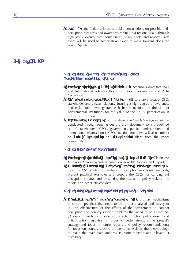**• Advocacy**: the initiative foresees public consultations on possible anticorruption measures and awareness raising on a regional scale, through high-profile events, press-conferences, policy briefs, and reports. Each event will be used to gather stakeholders to move forward along the *Action Agenda*.

## **6. Actions**

## **Action Line 1: Coalition Building, Networking and Stakeholder Consultations**

- **• Setting up the CSO coalition governance**: Steering Committee (SC) and International Advisory Board on Good Governance and Anti-Corruption.
- **reaching out to other CSO coalitions** in SEE to enable broader CSO, stakeholder and citizen relations. Ensuring a high degree of awareness and collaboration will guarantee higher recognition on the side of governmental institutions for the value of the CSOs' participation in the reform process.
- **• Stakeholder consultations** on the *Strategy and the Action Agenda* will be conducted through sending out the draft document to a predefined list of stakeholders (CSOs, government, public administration, and international organisations). CSO coalition members will also embark on **open consultations** or **crowdsourcing** ideas from the wider community.

## **Action Line 2: Capacity Building**

- **• Setting up of training materials and a methodological pack** on the *Corruption Monitoring System* based on available toolkits and reports.
- **Holding a corruption monitoring capacity building workshop**, to train the CSO coalition members in corruption monitoring methods, present practical examples and prepare the CSOs for carrying out corruption surveys and presenting the results to policy-makers, the media and other stakeholders.

## **Action Line 3: Corruption Diagnostics and Monitoring**

**• Gathering of available data and information** on: (a) mechanisms of corrupt practices that need to be further analysed and surveyed; (b) the effectiveness of the efforts of the government to combat corruption and country-specific problems that need to be addressed; (c) specific needs for change in the anticorruption policy design and anticorruption legislation in order to better structure the project's strategy and focus of future reports and policy recommendations; (d) focus on country-specific problems, as well as the methodology to make the main data and results more targeted and relevant, if necessary.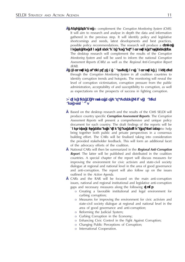- **• Desk research** to complement the *Corruption Monitoring System (CMS)*. It will aim to research and analyse in depth the data and information gathered in the previous step. It will identify policy and legislative shortcomings and needs, latest developments and best practices, possible policy recommendations. The research will produce a **report on the key good governance and anti-corruption gaps identified**. The desktop research will complement the results of the *Corruption Monitoring System* and will be used to inform the national *Corruption Assessment Reports (CARs)* as well as the *Regional Anti-Corruption Report (RAR).*
- **• Corruption diagnostics carrying out corruption monitoring** through the *Corruption Monitoring System* in all coalition countries to identify corruption trends and hotspots. The monitoring will reveal the level of corruption victimisation, corruption pressure from the public administration, acceptability of and susceptibility to corruption, as well as expectations on the prospects of success in fighting corruption.

## Action Line 4: Support for Data-Driven policy making **and Advocacy**

- **•** Based on the desktop research and the results of the CMS SELDI will produce country specific *Corruption Assessment Reports*. The *Corruption Assessment Reports* will present a comprehensive and unique policy document for each country. The draft findings of the reports will be **consulted with relevant national and regional stakeholders** to help bring together both public and private perspectives in a consensus building effort. The CARs will be finalised taking into consideration the provided stakeholder feedback. This will form an additional facet of the advocacy efforts of the coalition.
- **•** National CARs will then be summarized in the *Regional Anti-Corruption Report*. The latter will be published and distributed in the coalition countries. A special chapter of the report will discuss measures for improving the environment for civic activism and state-civil society dialogue at regional and national level in the area of good governance and anti-corruption. The report will also follow up on the issues outlined in the *Action Agenda*.
- **•** CARs and the RAR will be focused on the main anti-corruption issues, national and regional institutional and legislative anti-corruption gaps and necessary measures along the following **topics**:
	- o Creating a favorable institutional and legal environment for curbing corruption;
	- o Measures for improving the environment for civic activism and state-civil society dialogue at regional and national level in the area of good governance and anti-corruption;
	- o Reforming the Judicial System;
	- o Curbing Corruption in the Economy;
	- o Enhancing Civic Control in the Fight Against Corruption;
	- o Changing Public Perceptions of Corruption;
	- o International Cooperation.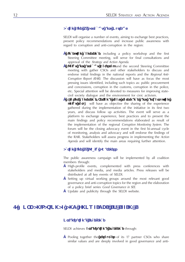#### **Action Line 5: Advocacy and Outreach**

SELDI will organise a number of events, aiming to exchange best practices, present policy recommendations and increase public awareness with regard to corruption and anti-corruption in the region:

- **Inception conference**, including a policy workshop and the first Steering Committee meeting, will serve for final consultations and approval of the *Strategy and Action Agenda*.
- **Policy and advocacy workshop** and the second Steering Committee meeting with gather CSOs and other stakeholders to discuss and endorse initial findings in the national reports and the *Regional Anti-Corruption Report (RAR).* The discussion will have as focus the most pressing issues identified, including such topics as: public procurement and concessions, corruption in the customs, corruption in the police, etc. Special attention will be devoted to measures for improving statecivil society dialogue and the environment for civic activism.
- **Closing conference/regional good governance and anticorruption policy forum** will have as objective the sharing of the experience gathered during the implementation of the initiative in its first two years, and discuss follow up activities. The event will serve as a platform to exchange experience, best practices and to present the main findings and policy recommendations elaborated as result of the implementation of the regional *Corruption Monitoring System*. The forum will be the closing advocacy event in the first bi-annual cycle of monitoring, analysis and advocacy and will endorse the findings of the RAR. Stakeholders will assess progress in implementing the *Action Agenda* and will identify the main areas requiring further attention.

#### **Action Line 6: Public Awareness**

The public awareness campaign will be implemented by all coalition members through:

- **•** High-profile events, complemented with press conferences with stakeholders and media, and media articles. Press releases will be distributed at all key events of SELDI.
- **•** Setting up virtual working groups around the most relevant good governance and anti-corruption topics for the region and the elaboration of a policy brief series *Good Governance in SEE*.
- **•** Update and publicity through the SELDI website.

## **7. Organisational and Knowledge Excellence**

#### **Organisational Excellence**

SELDI achieves **organisational excellence** through:

**•** Pooling together the **resources** of its 17 partner CSOs who share similar values and are deeply involved in good governance and anti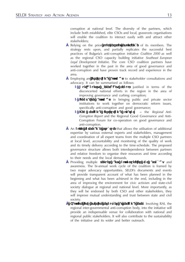corruption at national level. The diversity of the partners, which include both established, elite CSOs and local, grassroots organisations will enable the coalition to interact easily with and attract other stakeholders;

- **•** Relying on the prior **partnership experience** of its members. The strategy rests upon, and partially replicates the successful best practices of Bulgaria's anti-corruption initiative *Coalition 2000* as well as the regional CSO capacity building initiative *Southeast European Legal Development Initiative.* The core CSO coalition partners have worked together in the past in the area of good governance and anti-corruption and have proven track record and experience in the area.
- **•** Employing an **institutional approach** to stakeholder consultations and advocacy. It can be summarised as follows:
	- **o Multi-country beneficiary group**, justified in terms of the disconcerted national efforts in the region in the area of improving governance and curbing corruption;
	- **o Innovative approach** in bringing public and private sector institutions to work together on democratic reform issues, specifically anti-corruption and good governance;
	- **o New regional institutional platform** the *Regional Anti-Corruption Report* and the Regional Good Governance and Anti-Corruption Forum for co-operation on good governance and anti-corruption.
- **•** An **open governance structure** that allows the utilisation of additional expertise by various external experts and stakeholders, management and coordination of all expert teams from the multiple CSO partners at local level, accountability and monitoring of the quality of work and its timely delivery according to the time-schedule. The proposed governance structure allows both interdependence between partners and relative freedom to organise their resources and time according to their needs and the local demands.
- **•** Providing multiple **venues and opportunities for advocacy** and awareness. The bi-annual work cycle of the coalition is framed by two major advocacy opportunities. SELDI's documents and events will provide transparent account of what has been planned in the beginning and what has been achieved in the end, including in the area of improving the environment for civic activism and state-civil society dialogue at regional and national level. More importantly, as they will be endorsed by both CSO and other stakeholders, they will improve mutual understanding and trust between state and civil society.
- **• Tapping into existing resources at regional level**. Involving RAI, the regional inter-governmental anti-corruption body, into the initiative will provide an indispensable venue for collaboration with national and regional public stakeholders. It will also contribute to the sustainability of the initiative and its wider and better outreach.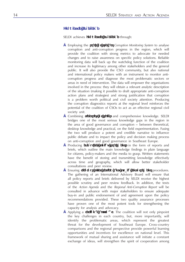## **Knowledge Excellence**

SELDI achieves **knowledge excellence** through:

- **•** Employing the **state of the art** *Corruption Monitoring System* to analyse corruption and anti-corruption progress in the region, which will provide the coalition with strong metrics to advocate for needed changes and to raise awareness on specific policy solutions. Reliable monitoring data will back up the watchdog function of the coalition and increase its legitimacy among other stakeholders and the general public. It will also provide the CSO community, but also national and international policy makers with an instrument to monitor anticorruption progress and diagnose the most problematic sectors or areas in need of intervention. The data will empower the organisations involved in the process: they will obtain a relevant analytic description of the situation (making it possible to draft appropriate anti-corruption action plans and strategies) and strong justification that corruption is a problem worth political and civil society attention. Producing the corruption diagnostics reports at the regional level reinforces the potential of the coalition of CSOs to act as an effective regional civil society unit.
- **•** Combining **diversity of skills** and comprehensive knowledge. SELDI bridges one of the most serious knowledge gaps in the region in the area of good governance and corruption – between theoretical, desktop knowledge and practical, on the field experimentation. Fusing the two will produce a potent and credible narrative to influence public debate and to impact the policy and decision making process on anti-corruption and good governance in Southeast Europe.
- **•** Producing **executive, policy statements** in the form of reports and briefs, which outline the main knowledge findings in plain language for citizens, policy-makers and the media to grasp. Written statements have the benefit of storing and transmitting knowledge effectively across time and geography, which will allow better stakeholder consultations and peer review.
- **•** Ensuring **rigorous peer review and public endorsement** procedures. The gathering of an International Advisory Board will ensure that all policy reports and briefs delivered by SELDI receive the highest possible scrutiny and peer review feedback. In addition, the texts of the *Action Agenda* and the *Regional Anti-Corruption Report* will be consulted in advance with major stakeholders to ensure adequate buy-in and public endorsement of and agreement upon the policy recommendations provided. These two quality assurance processes have proven one of the most potent tools for strengthening the capacity for analysis and advocacy.
- **•** Applying a **regional approach**. The coalition will not only pinpoint the key challenges in each country, but, more importantly, will identify the problematic areas, which represent the greatest threat for the development of Southeast Europe. Cross-country comparisons and the regional perspective provide powerful learning opportunities and incentives for excellence on national level. This framework of mutual sharing and assistance will initiate a constant exchange of ideas, will strengthen the spirit of cooperation among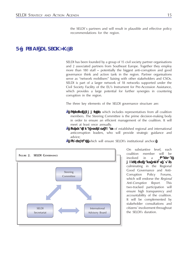the SELDI`s partners and will result in plausible and effective policy recommendations for the region.

## **8. SELDI Governance**

SELDI has been founded by a group of 15 civil society partner organisations and 2 associated partners from Southeast Europe. Together they employ more than 180 staff – potentially the biggest anti-corruption and good governance think and action tank in the region. Partner organisations serve as "network mobilisers" liaising with other stakeholders and CSOs. SELDI is part of a larger network of 18 networks supported under the Civil Society Facility of the EU's Instrument for Pre-Accession Assistance, which provides a large potential for further synergies in countering corruption in the region.

The three key elements of the SELDI governance structure are:

- **Steering Committee**, which includes representatives from all coalition members. The Steering Committee is the prime decision-making body in order to ensure an efficient management of the coalition. It will meet at least once annually.
- **International Advisory Board** of established regional and international anticorruption leaders, who will provide strategic guidance and advice;
- **Secretariat,** which will ensure SELDI's institutional anchor.



On substantive level, each coalition member will be involved in a **bi-annual**  monitoring and policy cyde, culminating in the Regional Good Governance and Anti-Corruption Policy Forums, which will endorse the *Regional Anti-Corruption Report*. This two-tracked participation will ensure high transparency and accountability of the coalition. It will be complemented by stakeholder consultations and citizens' involvement throughout the SELDI's duration.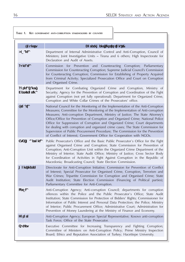#### **Table 1. Key government anti-corruption stakeholders by country**

| Country                   | Government Institution(s)                                                                                                                                                                                                                                                                                                                                                                                                                                                                                                                                                                                                                                              |
|---------------------------|------------------------------------------------------------------------------------------------------------------------------------------------------------------------------------------------------------------------------------------------------------------------------------------------------------------------------------------------------------------------------------------------------------------------------------------------------------------------------------------------------------------------------------------------------------------------------------------------------------------------------------------------------------------------|
| Albania                   | Department of Internal Administrative Control and Anti-Corruption, Council of<br>Ministers; Joint Investigative Units - Tirana and 6 others; High Inspectorate for<br>Declaration and Audit of Assets.                                                                                                                                                                                                                                                                                                                                                                                                                                                                 |
| <b>Bulgaria</b>           | Commission<br>for Prevention and Counteracting Corruption;<br>Parliamentary<br>Commission for Counteracting Corruption; Supreme Judicial Council's Commission<br>for Counteracting Corruption; Commission for Establishing of Property Acquired<br>from Criminal Activity; Specialized Prosecution Office and Court on Corruption<br>and Organised Crime.                                                                                                                                                                                                                                                                                                              |
| Bosnia and<br>herzegovina | Department for Combating Organized Crime and Corruption, Ministry of<br>Security; Agency for the Prevention of Corruption and Coordination of the Fight<br>against Corruption (not yet fully operational); Department for Organized Crime,<br>Corruption and White Collar Crimes of the Prosecutors' office.                                                                                                                                                                                                                                                                                                                                                           |
| Croatia                   | National Council for the Monitoring of the Implementation of the Anti-Corruption<br>Measures; Committee for the Monitoring of the Implementation of Anti-corruption<br>Measures; Anti-corruption Department, Ministry of Justice; The State Attorney's<br>Office/Office for Prevention of Corruption and Organized Crime; National Police<br>Office for Suppression of Corruption and Organized Crime; Court departments<br>for dealing with corruption and organized crime cases; The State Commission for<br>Supervision of Public Procurement Procedure; The Commission for the Prevention<br>of Conflict of Interest; Government Office for Cooperation with NGOs. |
| Fyr macedonia             | Public Prosecutor's Office and the Basic Public Prosecutor's Office for the Fight<br>against Organised Crime and Corruption; State Commission for Prevention of<br>Corruption; Anti-Corruption Unit within the Organized Crime Department of the<br>Ministry of Interior; State Audit Office; Ministry of Justice; Cross Sector Body<br>for Coordination of Activities in Fight Against Corruption in the Republic of<br>Macedonia; Broadcasting Council; State Election Commission.                                                                                                                                                                                   |
| montenegro                | Directorate for Anti-Corruption Initiative; Commission for Prevention of Conflict<br>of Interest; Special Prosecutor for Organised Crime, Corruption, Terrorism and<br>War Crimes; Tripartite Commission for Corruption and Organised Crime; State<br>Audit Institution; State Election Commission (Financing of Political parties);<br>Parliamentary Committee for Anti-Corruption.                                                                                                                                                                                                                                                                                   |
| Serbia                    | Anti-Corruption Agency; Anti-corruption Council; departments for corruption<br>offences within the Police and the Public Prosecutor's Office; State Audit<br>Institution; State Commission for Protection of Bidders' Rights; Commissioner for<br>Information of Public Interest and Personal Data Protection; the Police; Ministry<br>of Interior; Public Procurement Office; Administrative Court; Administration for<br>Prevention of Money Laundering at the Ministry of Finance and Economy.                                                                                                                                                                      |
| kosovo                    | Anti-Corruption Agency; European Special Representative; Kosovo anti-corruption<br>Task Force; Office of the State Prosecutor.                                                                                                                                                                                                                                                                                                                                                                                                                                                                                                                                         |
| <b>Turkey</b>             | Executive Committee for Increasing Transparency and Fighting Corruption;<br>Committee of Ministers on Anti-Corruption Policy; Prime Ministry Inspection<br>Board; Ethics and Reputation Association of Turkey; Hacettepe University.                                                                                                                                                                                                                                                                                                                                                                                                                                   |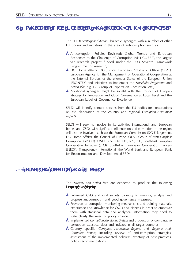## **9. Synergies with Other EU and International Initiatives**

The SELDI *Strategy and Action Plan* seeks synergies with a number of other EU bodies and initiatives in the area of anticorruption such as:

- **•** Anticorruption Policies Revisited: Global Trends and European Responses to the Challenge of Corruption (ANTICORRP), the largest yet research project funded under the EU's Seventh Framework Programme for research;
- **•** DG Home Affairs, DG Justice, European Anti-Fraud Office (OLAF), European Agency for the Management of Operational Cooperation at the External Borders of the Member States of the European Union (FRONTEX) and initiatives to implement the *Stockholm Programme* and *Action Plan* e.g. EU Group of Experts on Corruption, etc.;
- **•** Additional synergies might be sought with the Council of Europe's Strategy for Innovation and Good Governance at Local Level and the European Label of Governance Excellence.

SELDI will identify contact persons from the EU bodies for consultations on the elaboration of the country and regional *Corruption Assessment Reports*.

SELDI will seek to involve in its activities international and European bodies and CSOs with significant influence on anti-corruption in the region will also be involved, such as: the European Commission (DG Enlargement, DG Home Affairs), the Council of Europe, OLAF, Group of States against Corruption (GRECO), UNDP and UNODC, RAI, CEI, Southeast European Cooperative Initiative (SECI), South-East European Cooperation Process (SEECP), Transparency International, the World Bank and European Bank for Reconstruction and Development (EBRD).

## 10. **ExpECTED RESULTS** AND **IMPACTS**

The *Strategy and Action Plan* are expected to produce the following **outputs and results**:

- **•** Enhanced CSO and civil society capacity to monitor, analyse and propose anticorruption and good governance measures.
- **•** Provision of corruption monitoring mechanisms and training materials, experience and knowledge for CSOs and citizens in order to empower them with statistical data and analytical information they need to state clearly the need of policy change.
- **•** Implemented *Corruption Monitoring System* and production of comparative corruption statistical data and indexes in all target countries.
- **•** Country specific *Corruption Assessment Reports* and *Regional Anti-Corruption Report*, including review of anti-corruption strategies; assessment of the implemented policies; inventory of best practices; policy recommendations.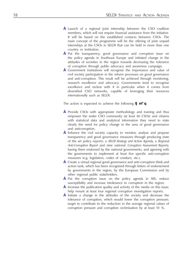- **•** Launch of a regional joint internship between the CSO coalition members, which will not require financial assistance from the initiative. It will be based on the established contacts between CSOs. The main concept of the programme will be the offering of joint unpaid internships at the CSOs in SELDI that can be held in more than one country or institution.
- **•** Put the transparency, good governance and corruption issue on the policy agenda in Southeast Europe and initiated change in the attitudes of societies in the region towards decreasing the tolerance of corruption through public advocacy and awareness campaign.
- **•** Government institutions will recognise the importance and value of civil society participation in the reform processes on good governance and anti-corruption. This result will be achieved through monitoring, research excellence and advocacy. Governments tend to recognise excellence and reckon with it in particular when it comes from diversified CSO networks, capable of leveraging their resources internationally such as SELDI.

The action is expected to achieve the following **impact**:

- **•** Provide CSOs with appropriate methodology and training and thus empower the wider CSO community (at least 60 CSOs) and citizens with statistical data and analytical information they need to state clearly the need for policy change in the area of good governance and anticorruption.
- **•** Enhance the civil society capacity to monitor, analyse and propose transparency and good governance measures through producing state of the art policy reports: a *SELDI Strategy and Action Agenda*, a *Regional Anti-Corruption Report* and nine national *Corruption Assessment Reports*; having them endorsed by the national governments; and agreeing with the governments to implement at least five specific anti-corruption measures (e.g. legislation, codes of conduct, etc.).
- **•** Create a virtual regional good governance and anti-corruption think and action tank, which has been recognised through letters of endorsement by governments in the region, by the European Commission and by other regional public stakeholders.
- **•** Put the corruption issue on the policy agenda in SEE; reduce susceptibility and increase intolerance to corruption in the region;
- **•** Increase the publication quality and activity of the media on this issue; help mount at least four regional corruption investigation reports.
- **•** Initiate a change in the attitudes of the society and decrease the tolerance of corruption, which would lower the corruption pressure; target to contribute to the reduction in the average regional values of corruption pressure and corruption victimisation by at least 10 %.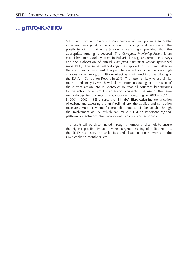## **11. Sustainability**

SELDI activities are already a continuation of two previous successful initiatives, aiming at anti-corruption monitoring and advocacy. The possibility of its further extension is very high, provided that the appropriate funding is secured. The *Corruption Monitoring System* is an established methodology, used in Bulgaria for regular corruption surveys and the elaboration of annual *Corruption Assessment Reports* (published since 1999). The same methodology was applied in 2001 and 2002 in the countries of Southeast Europe. The current initiative has very high chances for achieving a multiplier effect as it will feed into the piloting of the EU Anti-Corruption Report in 2013. The latter is likely to use similar metrics and analysis, which will allow better integrating of the results of the current action into it. Moreover so, that all countries beneficiaries to the action have firm EU accession prospects. The use of the same methodology for this round of corruption monitoring in 2013 – 2014 as in 2001 – 2002 in SEE ensures the **comparability of results**, identification of **trends**, and assessing the **policy impact** of the applied anti-corruption measures. Another venue for multiplier effects will be sought through the involvement of RAI, which can make SELDI an important regional platform for anti-corruption monitoring, analysis and advocacy.

The results will be disseminated through a number of channels to ensure the highest possible impact: events, targeted mailing of policy reports, the SELDI web site, the web sites and dissemination networks of the CSO coalition members, etc.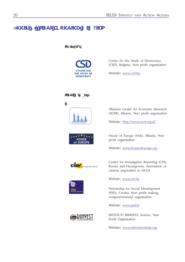## **Annex 1. SELDI Founding Members**

## **Secretariat**



Center for the Study of Democracy (CSD), Bulgaria, Non profit organisation

Website: www.csd.bg

## **SELDI** members



Albanian Center for Economic Research (ACER), Albania, Non profit organisation

Website: http://www.acer.org.al/

House of Europe (HoE), Albania, Non profit organisation

Website: www.houseofeurope.org



★★<sub>★★★</sub> **HOUSE** of EUROPE





Center for Investigative Reporting (CIN), Bosnia and Herzegovina, Association of citizens (equivalent to NGO)

Website: www.cin.ba

Partnership for Social Development (PSD), Croatia, Non profit making, nongovernmental organisation

Website: www.psd.hr

INSTITUTI RIINVEST, Kosovo, Non Profit Organisation

Website: www.riinvestinstitute.org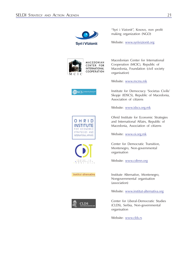

"Syri i Vizionit", Kosovo, non profit making organization (NGO)

Website: www.syriivizionit.org



Macedonian Center for International Cooperation (MCIC), Republic of Macedonia, Foundation (civil society organisation)

Website: www.mcms.mk

**IDSCS** | Institute for |

OHRID **INSTITUTE** FOR ECONOMIC STRATECIES AND INTERNATIONAL AFFAIRS

CENTAR ZA<br>DEMOKRATSKU<br>FRANZICIJU

institut alternativa

**CLDS** 

Institute for Democracy 'Societas Civilis' Skopje (IDSCS), Republic of Macedonia, Association of citizens

Website: www.idscs.org.mk

Ohrid Institute for Economic Strategies and International Affairs, Republic of Macedonia, Association of citizens

Website: www.oi.org.mk

Center for Democratic Transition, Montenegro, Non-governmental organisation

Website: www.cdtmn.org

Institute Alternative, Montenegro, Nongovernmental organisation (association)

Website: www.institut-alternativa.org

Center for Liberal-Democratic Studies (CLDS), Serbia, Non-governmental organisation

Website: www.clds.rs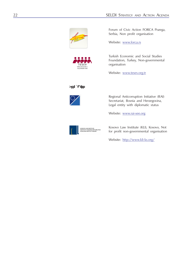



Forum of Civic Action FORCA Pozega, Serbia, Non profit organisation

Website: www.forca.rs

Turkish Economic and Social Studies Foundation, Turkey, Non-governmental organisation

Website: www.tesev.org.tr

## **Associates**



Regional Anticorruption Initiative (RAI) Secretariat, Bosnia and Herzegovina, Legal entity with diplomatic status

Website: www.rai-see.org



Kosovo Law Institute (KLI), Kosovo, Not for profit non-governmental organisation

Website: http://www.kli-ks.org/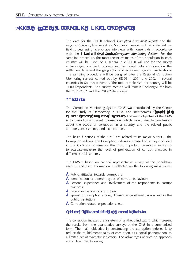## **Annex 2. The Corruption Monitoring System**

The data for the SELDI national *Corruption Assessment Reports* and the *Regional Anticorruption Report* for Southeast Europe will be collected via field surveys using face-to-face interviews with households in accordance with the **methodology of the** *Corruption Monitoring System*. For the sampling procedure, the most recent estimates of the population in each country will be used. As a general rule SELDI will use for the survey a two-stage, stratified, random sample, taking into consideration the settlement type and the geographic and economic regions classifications. The sampling procedure will be designed after the Regional Corruption Monitoring surveys carried out by SELDI in 2001 and 2002 in several countries in Southeast Europe. The total sample size per country will be 1,000 respondents. The survey method will remain unchanged for both the 2001/2002 and the 2013/2014 surveys.

#### **Background**

The Corruption Monitoring System (CMS) was introduced by the Center for the Study of Democracy in 1998, and incorporates **a system of empirical studies and analytical reports**. The main objective of the CMS is to periodically present information, which would enable conclusions about the scope of corruption in a country and the related public attitudes, assessments, and expectations.

The basic functions of the CMS are related to its major output – the Corruption Indexes. The Corruption Indexes are based on surveys included in the CMS and summarise the most important corruption indicators to evaluate/measure the level of proliferation of corrupt practices in different social spheres.

The CMS is based on national representative surveys of the population aged 18 and over. Information is collected on the following main issues:

- **•** Public attitudes towards corruption;
- **•** Identification of different types of corrupt behaviour;
- **•** Personal experience and involvement of the respondents in corrupt practices;
- Levels and scope of corruption;
- **•** Spread of corruption among different occupational groups and in the public institutions;
- **•** Corruption-related expectations, etc.

#### **Theoretical Underpinning of Corruption Indexes**

The corruption indexes are a system of synthetic indicators, which present the results from the quantitative surveys of the CMS in a summarised form. The main objective in constructing the corruption indexes is to reduce the multidimensionality of corruption, as a social phenomenon, to a limited set of synthetic indicators. The advantages of such an approach are at least the following: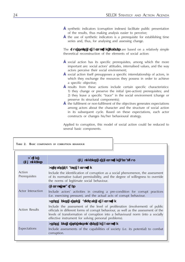- **•** synthetic indicators (corruption indexes) facilitate public presentation of the results, thus making analysis easier to perceive;
- **•** the use of synthetic indicators is a prerequisite for establishing time series and, thus, for analysing and assessing change.

The **four types of corruption indexes** are based on a relatively simple theoretical reconstruction of the elements of social action:

- **•** social action has its specific prerequisites, among which the more important are: social actors' attitudes, internalised values, and the way actors perceive their social environment;
- **•** social action itself presupposes a specific interrelationship of actors, in which they exchange the resources they possess in order to achieve a specific objective;
- **•** results from these actions include certain specific characteristics: 1) they change or preserve the initial (pre-action) prerequisites; and 2) they leave a specific "trace" in the social environment (change or preserve its structural components);
- **•** the fulfilment or non-fulfilment of the objectives generates expectations among actors about the character and the structure of social action in its subsequent cycle. Based on these expectations, each actor constructs or changes his/her behavioural strategy.

Applied to corruption, this model of social action could be reduced to several basic components.

| TABLE 2. BASIC COMPONENTS OF CORRUPTION BEHAVIOUR                        |                                                                                                                                                                                                                                                                                                                |  |  |  |  |  |  |
|--------------------------------------------------------------------------|----------------------------------------------------------------------------------------------------------------------------------------------------------------------------------------------------------------------------------------------------------------------------------------------------------------|--|--|--|--|--|--|
|                                                                          |                                                                                                                                                                                                                                                                                                                |  |  |  |  |  |  |
|                                                                          |                                                                                                                                                                                                                                                                                                                |  |  |  |  |  |  |
| Action<br><b>Components of Corruption Behaviour</b><br><b>Components</b> |                                                                                                                                                                                                                                                                                                                |  |  |  |  |  |  |
|                                                                          | Attitudes towards corruption                                                                                                                                                                                                                                                                                   |  |  |  |  |  |  |
| Action<br>Prerequisites                                                  | Include the identification of corruption as a social phenomenon, the assessment<br>of its normative (value) permissibility, and the degree of willingness to override<br>the norms of legitimate social behaviour.                                                                                             |  |  |  |  |  |  |
|                                                                          | Corrupt practices                                                                                                                                                                                                                                                                                              |  |  |  |  |  |  |
| Actor Interaction                                                        | Include actors' activities in creating a pre-condition for corrupt practices<br>(i.e. exercising pressure), and the actual acts of corrupt behaviour.                                                                                                                                                          |  |  |  |  |  |  |
|                                                                          | Assessments of the magnitude of corruption                                                                                                                                                                                                                                                                     |  |  |  |  |  |  |
| <b>Action Results</b>                                                    | Include the assessment of the level of proliferation (involvement) of public<br>officials in different forms of corrupt behaviour, as well as the assessment of the<br>levels of transformation of corruption into a behavioural norm (into a socially<br>effective instrument for solving personal problems). |  |  |  |  |  |  |
|                                                                          | Assessment of the perspectives on corruption                                                                                                                                                                                                                                                                   |  |  |  |  |  |  |
| Expectations                                                             | Include assessments of the capabilities of society (i.e. its potential) to combat<br>corruption.                                                                                                                                                                                                               |  |  |  |  |  |  |
|                                                                          |                                                                                                                                                                                                                                                                                                                |  |  |  |  |  |  |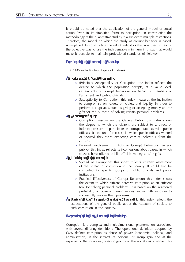It should be noted that the application of the general model of social action (even in its simplified form) to corruption (in constructing the methodology of the quantitative studies) is a subject to multiple restrictions. Therefore, the model on which the study of corrupt behavior is based, is simplified. In constructing the set of indicators that was used in reality, the objective was to use the indispensable minimum in a way that would make it possible to maintain professional standards of fieldwork.

## **Structure of Corruption Indexes**

The CMS includes four types of indexes:

#### **• Attitudes towards Corruption**

- o (Principle) Acceptability of Corruption: the index reflects the degree to which the population accepts, at a value level, certain acts of corrupt behaviour on behalf of members of Parliament and public officials.
- o Susceptibility to Corruption: this index measures the inclination to compromise on values, principles, and legality, in order to perform corrupt acts, such as giving or accepting money and/or gifts for the purpose of solving certain personal problems.
- **• Corrupt Practices**
	- o Corruption Pressure on the General Public: this index shows the degree to which the citizens are subject to a direct or indirect pressure to participate in corrupt practices with public officials. It accounts for cases, in which public officials wanted or showed they were expecting corrupt behaviour from the citizens.
	- o Personal Involvement in Acts of Corrupt Behaviour (general public): this index reflects self-confessions about cases, in which citizens have offered public officials money and/or gifts.
- **Magnitude of Corruption**
	- o Spread of Corruption: this index reflects citizens' assessment of the spread of corruption in the country. It could also be computed for specific groups of public officials and public institutions.
	- o Practical Effectiveness of Corrupt Behaviour: this index shows the extent to which citizens perceive corruption as an efficient tool for solving personal problems. It is based on the registered probability of citizens offering money and/or gifts in order to successfully resolve their problems.
- **• Expectations about the Future of Corruption**: this index reflects the expectations of the general public about the capacity of society to curb corruption in the country.

## **Interpretation of Corruption Indexes**

Corruption is a complex and multidimensional phenomenon, associated with several differing definitions. The operational definition adopted by CMS defines corruption as abuse of power (economic, political, and administrative) in the interest of personal or group gain and at the expense of the individual, specific groups or the society as a whole. This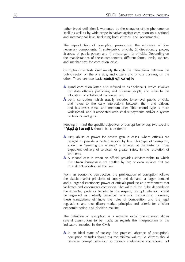rather broad definition is warranted by the character of the phenomenon itself, as well as by wide-scope initiatives against corruption on a national and international level (including both citizens' and governments').

The reproduction of corruption presupposes the existence of four necessary components: 1) state/public officials; 2) discretionary power; 3) abuse of public power; and 4) private gain for officials. Depending on the manifestations of these components, different forms, levels, spheres, and mechanisms for corruption exist.

Corruption manifests itself mainly through the interactions between the public sector, on the one side, and citizens and private business, on the other. There are two basic **types of corruption**:

- **•** grand corruption (often also referred to as "political"), which involves top state officials, politicians, and business people, and refers to the allocation of substantial resources; and
- **•** petty corruption, which usually includes lower-level public officials, and refers to the daily interactions between them and citizens and businesses (small and medium size). This second type is more widespread, and is associated with smaller payments and/or a system of favours and gifts.

Keeping in mind the specific objectives of corrupt behaviour, two specific **cases of corruption** should be considered:

- **•** First, abuse of power for private gain in cases, where officials are obliged to provide a certain service by law. This type of corruption, known as "greasing the wheels," is targeted at the faster or more expedient delivery of services, or greater safety in the resolution of problems.
- **•** A second case is when an official provides services/rights to which the citizen (business) is not entitled by law, or even services that are in a direct violation of the law.

From an economic perspective, the proliferation of corruption follows the classic market principles of supply and demand: a larger demand and a larger discretionary power of officials produce an environment that facilitates and encourages corruption. The value of the bribe depends on the expected profit or benefit. In this respect, corrupt behaviour could be regarded as mutually beneficial economic transactions. However, these transactions eliminate the rules of competition and the legal regulations, and thus distort market principles and criteria for efficient economic action and decision-making.

The definition of corruption as a negative social phenomenon allows several assumptions to be made, as regards the interpretation of the indicators included in the CMS:

**•** In an ideal state of society (the practical absence of corruption), corruption attitudes should assume minimal values: i.e. citizens should perceive corrupt behaviour as morally inadmissible and should not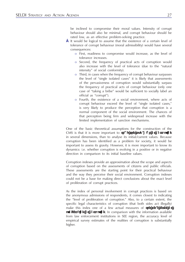be inclined to compromise their moral values. Intensity of corrupt behaviour should also be minimal, and corrupt behaviour should be rated low, as an effective problem-solving practice.

- **•** It would be logical to assume that the existence of a certain level of tolerance of corrupt behaviour (moral admissibility) would have several consequences:
	- o First, readiness to compromise would increase, as the level of tolerance increases.
	- o Second, the frequency of practical acts of corruption would also increase with the level of tolerance (due to the "natural intensity" of social conformity).
	- o Third, in cases when the frequency of corrupt behaviour surpasses the level of "single isolated cases" it is likely that assessments of the pervasiveness of corruption would substantially surpass the frequency of practical acts of corrupt behaviour (only one case of "taking a bribe" would be sufficient to socially label an official as "corrupt").
	- o Fourth, the existence of a social environment, where acts of corrupt behaviour exceed the level of "single isolated cases," is very likely to produce the perception that corruption is a normal component of the social environment. The chances of that perception being firm and widespread increase with the limited implementation of sanction mechanisms.

One of the basic theoretical assumptions for the construction of the CMS is that it is more important to **track the dynamics of corruption** in several dimensions, than to analyse its initial/current values. Because corruption has been identified as a problem for society, it would be important to assess its gravity. However, it is more important to know its dynamics: i.e. whether corruption is evolving in a positive or in negative direction in comparison to its initial baseline values.

Corruption indexes provide an approximation about the scope and aspects of corruption based on the assessments of citizens and public officials. These assessments are the starting point for their practical behaviour and the way they perceive their social environment. Corruption indexes could not be a base for making direct conclusions about the exact level of proliferation of corrupt practices.

As the index of personal involvement in corrupt practices is based on the anonymous admissions of respondents, it comes closest to indicating the "level of proliferation of corruption." Also, to a certain extent, the specific legal characteristics of corruption (that both sides act illegally) make this index one of a few actual measures of **the real level of proliferation of corruption.** In comparison with the information available from law enforcement institutions in SEE region, the accuracy level of empirical survey estimates of the realities of corruption is substantially higher.